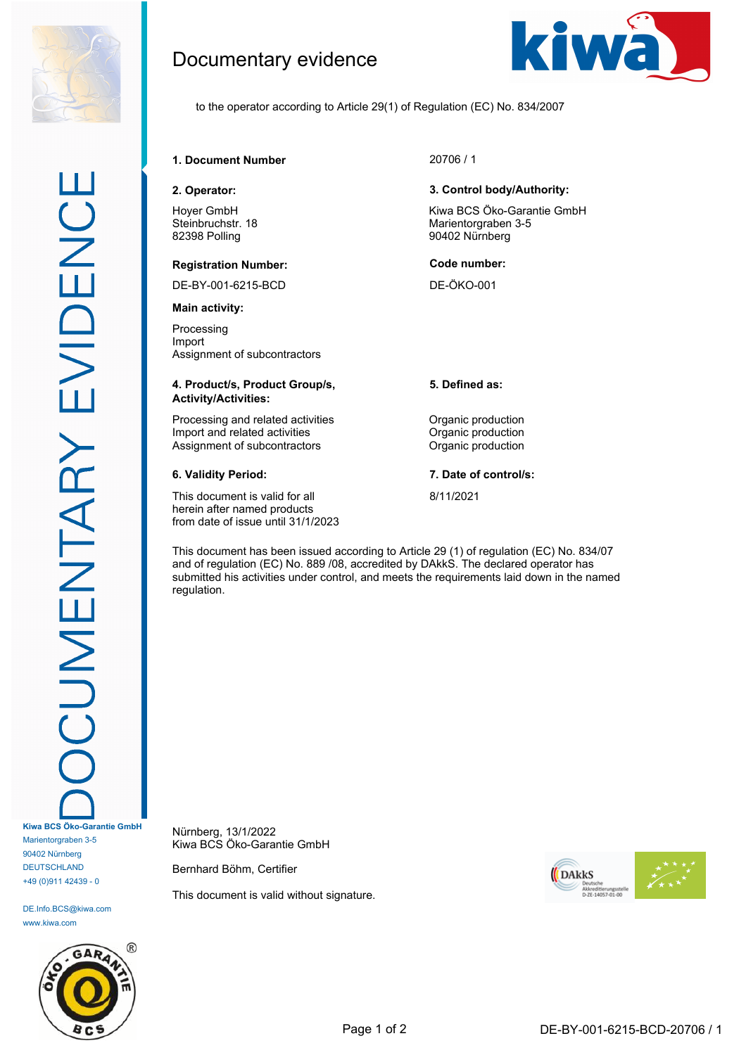

DE.Info.BCS@kiwa.com www.kiwa.com



Documentary evidence



to the operator according to Article 29(1) of Regulation (EC) No. 834/2007

# **1. Document Number** 20706 / 1

Hoyer GmbH Steinbruchstr. 18 82398 Polling

### **Registration Number: Code number:**

DE-BY-001-6215-BCD DE-ÖKO-001

**Main activity:**

Processing Import Assignment of subcontractors

### **4. Product/s, Product Group/s, Activity/Activities:**

Processing and related activities **Constanting Construction** Import and related activities **Organic production**<br>Assignment of subcontractors **Organic production** Assignment of subcontractors

This document is valid for all herein after named products from date of issue until 31/1/2023

### **2. Operator: 3. Control body/Authority:**

Kiwa BCS Öko-Garantie GmbH Marientorgraben 3-5 90402 Nürnberg

**5. Defined as:**

**6. Validity Period: 7. Date of control/s:**

8/11/2021

This document has been issued according to Article 29 (1) of regulation (EC) No. 834/07 and of regulation (EC) No. 889 /08, accredited by DAkkS. The declared operator has submitted his activities under control, and meets the requirements laid down in the named regulation.

Nürnberg, 13/1/2022 Kiwa BCS Öko-Garantie GmbH

Bernhard Böhm, Certifier

This document is valid without signature.